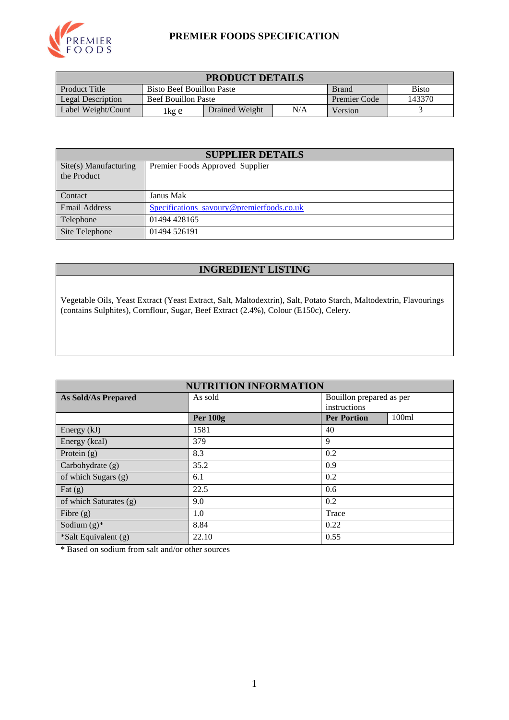

#### **PREMIER FOODS SPECIFICATION**

| <b>PRODUCT DETAILS</b>                                                            |                            |                |                     |        |  |
|-----------------------------------------------------------------------------------|----------------------------|----------------|---------------------|--------|--|
| Product Title<br><b>Bisto</b><br><b>Bisto Beef Bouillon Paste</b><br><b>Brand</b> |                            |                |                     |        |  |
| <b>Legal Description</b>                                                          | <b>Beef Bouillon Paste</b> |                | <b>Premier Code</b> | 143370 |  |
| Label Weight/Count                                                                | lkg e                      | Drained Weight | Version             |        |  |

| <b>SUPPLIER DETAILS</b>              |                                           |  |  |  |
|--------------------------------------|-------------------------------------------|--|--|--|
| Site(s) Manufacturing<br>the Product | Premier Foods Approved Supplier           |  |  |  |
| Contact                              | Janus Mak                                 |  |  |  |
| <b>Email Address</b>                 | Specifications_savoury@premierfoods.co.uk |  |  |  |
| Telephone                            | 01494 428165                              |  |  |  |
| Site Telephone                       | 01494 526191                              |  |  |  |

## **INGREDIENT LISTING**

Vegetable Oils, Yeast Extract (Yeast Extract, Salt, Maltodextrin), Salt, Potato Starch, Maltodextrin, Flavourings (contains Sulphites), Cornflour, Sugar, Beef Extract (2.4%), Colour (E150c), Celery.

| <b>NUTRITION INFORMATION</b> |                 |                             |  |  |  |
|------------------------------|-----------------|-----------------------------|--|--|--|
| <b>As Sold/As Prepared</b>   | As sold         | Bouillon prepared as per    |  |  |  |
|                              |                 | instructions                |  |  |  |
|                              | <b>Per 100g</b> | 100ml<br><b>Per Portion</b> |  |  |  |
| Energy (kJ)                  | 1581            | 40                          |  |  |  |
| Energy (kcal)                | 379             | 9                           |  |  |  |
| Protein $(g)$                | 8.3             | 0.2                         |  |  |  |
| Carbohydrate (g)             | 35.2            | 0.9                         |  |  |  |
| of which Sugars (g)          | 6.1             | 0.2                         |  |  |  |
| Fat $(g)$                    | 22.5            | 0.6                         |  |  |  |
| of which Saturates (g)       | 9.0             | 0.2                         |  |  |  |
| Fibre $(g)$                  | 1.0             | Trace                       |  |  |  |
| Sodium $(g)^*$               | 8.84            | 0.22                        |  |  |  |
| *Salt Equivalent (g)         | 22.10           | 0.55                        |  |  |  |

\* Based on sodium from salt and/or other sources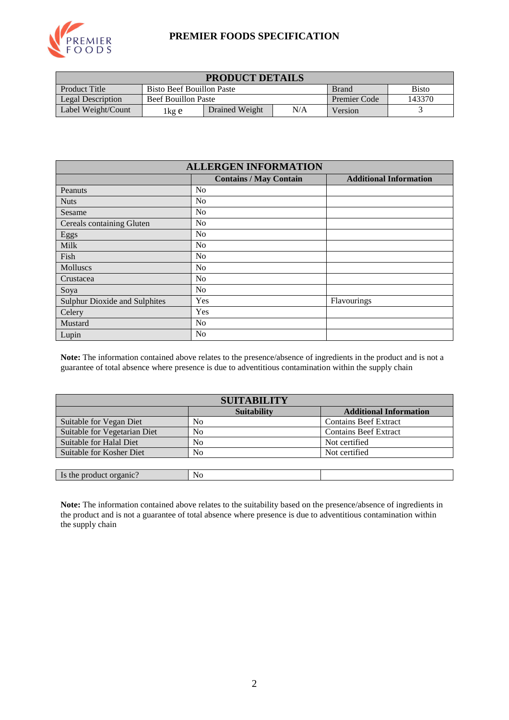

#### **PREMIER FOODS SPECIFICATION**

| <b>PRODUCT DETAILS</b>                                                                   |                                                             |                |         |  |  |
|------------------------------------------------------------------------------------------|-------------------------------------------------------------|----------------|---------|--|--|
| <b>Product Title</b><br><b>Bisto</b><br><b>Bisto Beef Bouillon Paste</b><br><b>Brand</b> |                                                             |                |         |  |  |
| <b>Legal Description</b>                                                                 | 143370<br><b>Beef Bouillon Paste</b><br><b>Premier Code</b> |                |         |  |  |
| Label Weight/Count                                                                       | 1kg e                                                       | Drained Weight | Version |  |  |

| <b>ALLERGEN INFORMATION</b>                                    |                |             |  |  |  |  |
|----------------------------------------------------------------|----------------|-------------|--|--|--|--|
| <b>Additional Information</b><br><b>Contains / May Contain</b> |                |             |  |  |  |  |
| Peanuts                                                        | No             |             |  |  |  |  |
| <b>Nuts</b>                                                    | No             |             |  |  |  |  |
| Sesame                                                         | N <sub>0</sub> |             |  |  |  |  |
| Cereals containing Gluten                                      | N <sub>0</sub> |             |  |  |  |  |
| Eggs                                                           | No             |             |  |  |  |  |
| Milk                                                           | No             |             |  |  |  |  |
| Fish                                                           | No             |             |  |  |  |  |
| Molluscs                                                       | No             |             |  |  |  |  |
| Crustacea                                                      | No             |             |  |  |  |  |
| Soya                                                           | No             |             |  |  |  |  |
| <b>Sulphur Dioxide and Sulphites</b>                           | Yes            | Flavourings |  |  |  |  |
| Celery                                                         | Yes            |             |  |  |  |  |
| Mustard                                                        | N <sub>o</sub> |             |  |  |  |  |
| Lupin                                                          | No             |             |  |  |  |  |

**Note:** The information contained above relates to the presence/absence of ingredients in the product and is not a guarantee of total absence where presence is due to adventitious contamination within the supply chain

| <b>SUITABILITY</b>           |                    |                               |  |  |  |
|------------------------------|--------------------|-------------------------------|--|--|--|
|                              | <b>Suitability</b> | <b>Additional Information</b> |  |  |  |
| Suitable for Vegan Diet      | No                 | <b>Contains Beef Extract</b>  |  |  |  |
| Suitable for Vegetarian Diet | N <sub>0</sub>     | <b>Contains Beef Extract</b>  |  |  |  |
| Suitable for Halal Diet      | N <sub>0</sub>     | Not certified                 |  |  |  |
| Suitable for Kosher Diet     | No                 | Not certified                 |  |  |  |
|                              |                    |                               |  |  |  |
| Is the product organic?      | No                 |                               |  |  |  |

**Note:** The information contained above relates to the suitability based on the presence/absence of ingredients in the product and is not a guarantee of total absence where presence is due to adventitious contamination within the supply chain